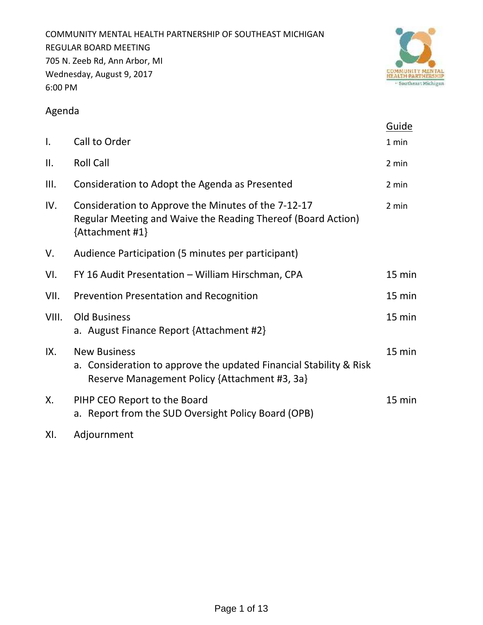COMMUNITY MENTAL HEALTH PARTNERSHIP OF SOUTHEAST MICHIGAN REGULAR BOARD MEETING 705 N. Zeeb Rd, Ann Arbor, MI Wednesday, August 9, 2017 6:00 PM



# Agenda

|       |                                                                                                                                            | <b>Guide</b> |
|-------|--------------------------------------------------------------------------------------------------------------------------------------------|--------------|
| I.    | Call to Order                                                                                                                              | 1 min        |
| ΙΙ.   | <b>Roll Call</b>                                                                                                                           | 2 min        |
| III.  | Consideration to Adopt the Agenda as Presented                                                                                             | 2 min        |
| IV.   | Consideration to Approve the Minutes of the 7-12-17<br>Regular Meeting and Waive the Reading Thereof (Board Action)<br>{Attachment #1}     | 2 min        |
| V.    | Audience Participation (5 minutes per participant)                                                                                         |              |
| VI.   | FY 16 Audit Presentation - William Hirschman, CPA                                                                                          | 15 min       |
| VII.  | Prevention Presentation and Recognition                                                                                                    | 15 min       |
| VIII. | <b>Old Business</b><br>a. August Finance Report {Attachment #2}                                                                            | 15 min       |
| IX.   | <b>New Business</b><br>a. Consideration to approve the updated Financial Stability & Risk<br>Reserve Management Policy {Attachment #3, 3a} | 15 min       |
| Χ.    | PIHP CEO Report to the Board<br>a. Report from the SUD Oversight Policy Board (OPB)                                                        | 15 min       |
|       |                                                                                                                                            |              |

XI. Adjournment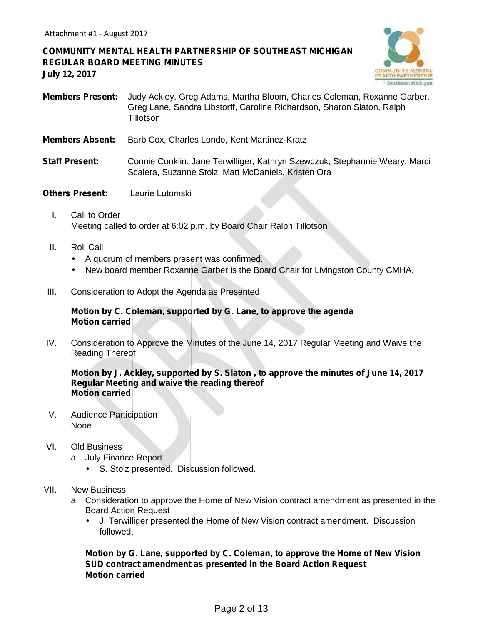**COMMUNITY MENTAL HEALTH PARTNERSHIP OF SOUTHEAST MICHIGAN REGULAR BOARD MEETING MINUTES July 12, 2017**



- **Members Present:** Judy Ackley, Greg Adams, Martha Bloom, Charles Coleman, Roxanne Garber, Greg Lane, Sandra Libstorff, Caroline Richardson, Sharon Slaton, Ralph **Tillotson**
- **Members Absent:** Barb Cox, Charles Londo, Kent Martinez-Kratz
- **Staff Present:** Connie Conklin, Jane Terwilliger, Kathryn Szewczuk, Stephannie Weary, Marci Scalera, Suzanne Stolz, Matt McDaniels, Kristen Ora
- **Others Present:** Laurie Lutomski
	- I. Call to Order Meeting called to order at 6:02 p.m. by Board Chair Ralph Tillotson
	- II. Roll Call
		- A quorum of members present was confirmed.
		- New board member Roxanne Garber is the Board Chair for Livingston County CMHA.
- III. Consideration to Adopt the Agenda as Presented

#### **Motion by C. Coleman, supported by G. Lane, to approve the agenda Motion carried**

IV. Consideration to Approve the Minutes of the June 14, 2017 Regular Meeting and Waive the Reading Thereof

#### **Motion by J. Ackley, supported by S. Slaton , to approve the minutes of June 14, 2017 Regular Meeting and waive the reading thereof Motion carried**

- V. Audience Participation None
- VI. Old Business
	- a. July Finance Report
		- S. Stolz presented. Discussion followed.
- VII. New Business
	- a. Consideration to approve the Home of New Vision contract amendment as presented in the Board Action Request
		- J. Terwilliger presented the Home of New Vision contract amendment. Discussion followed.

**Motion by G. Lane, supported by C. Coleman, to approve the Home of New Vision SUD contract amendment as presented in the Board Action Request Motion carried**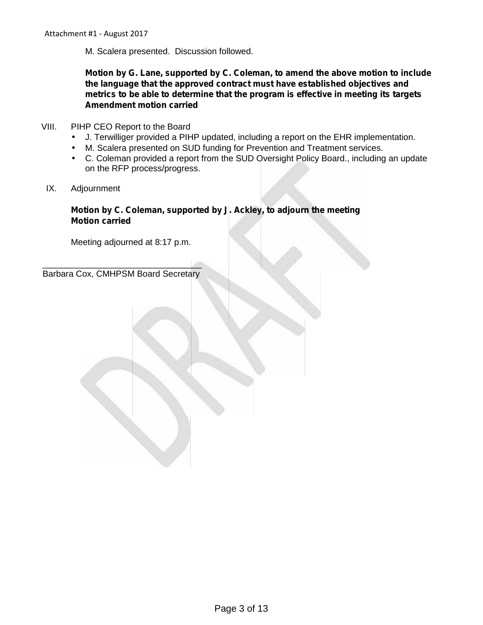Attachment #1 - August 2017

M. Scalera presented. Discussion followed.

**Motion by G. Lane, supported by C. Coleman, to amend the above motion to include the language that the approved contract must have established objectives and metrics to be able to determine that the program is effective in meeting its targets Amendment motion carried**

### VIII. PIHP CEO Report to the Board

- J. Terwilliger provided a PIHP updated, including a report on the EHR implementation.
- M. Scalera presented on SUD funding for Prevention and Treatment services.

 $\acute{\hbox{)}}$  C. Coleman provided a report from the SUD Oversight Policy Board., including an update on the RFP process/progress.

IX. Adjournment

## **Motion by C. Coleman, supported by J. Ackley, to adjourn the meeting Motion carried**

Meeting adjourned at 8:17 p.m.

 $\mathcal{L}$  , we can assume that the contract of  $\mathcal{L}$ 

Barbara Cox, CMHPSM Board Secretary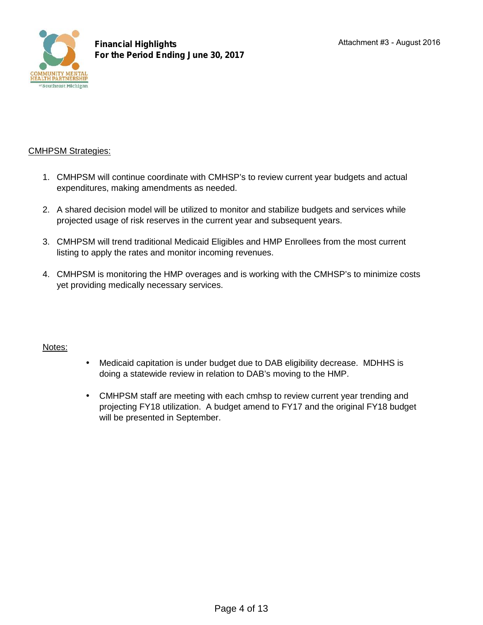

# CMHPSM Strategies:

- 1. CMHPSM will continue coordinate with CMHSP's to review current year budgets and actual expenditures, making amendments as needed.
- 2. A shared decision model will be utilized to monitor and stabilize budgets and services while projected usage of risk reserves in the current year and subsequent years.
- 3. CMHPSM will trend traditional Medicaid Eligibles and HMP Enrollees from the most current listing to apply the rates and monitor incoming revenues.
- 4. CMHPSM is monitoring the HMP overages and is working with the CMHSP's to minimize costs yet providing medically necessary services.

# Notes:

- Medicaid capitation is under budget due to DAB eligibility decrease. MDHHS is doing a statewide review in relation to DAB's moving to the HMP.
- CMHPSM staff are meeting with each cmhsp to review current year trending and projecting FY18 utilization. A budget amend to FY17 and the original FY18 budget will be presented in September.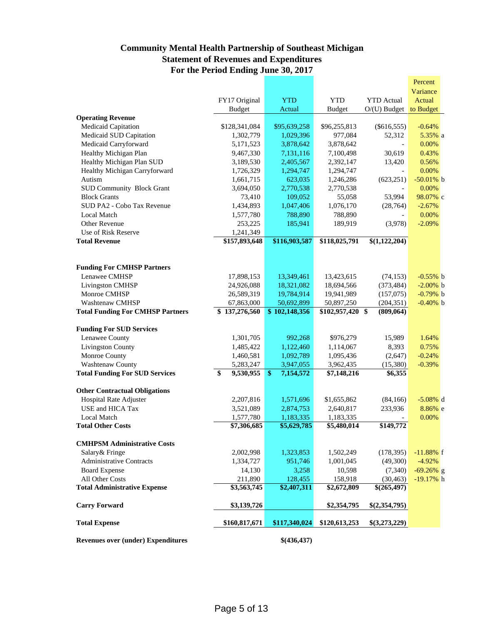# **Community Mental Health Partnership of Southeast Michigan Statement of Revenues and Expenditures For the Period Ending June 30, 2017**

|                                         |                 |                              |                   |                   | Percent      |
|-----------------------------------------|-----------------|------------------------------|-------------------|-------------------|--------------|
|                                         |                 |                              |                   |                   | Variance     |
|                                         | FY17 Original   | <b>YTD</b>                   | <b>YTD</b>        | <b>YTD</b> Actual | Actual       |
|                                         | <b>Budget</b>   | Actual                       | <b>Budget</b>     | $O/(U)$ Budget    | to Budget    |
| <b>Operating Revenue</b>                |                 |                              |                   |                   |              |
| Medicaid Capitation                     | \$128,341,084   | \$95,639,258                 | \$96,255,813      | $(\$616,555)$     | $-0.64%$     |
| Medicaid SUD Capitation                 | 1,302,779       | 1,029,396                    | 977,084           | 52,312            | 5.35% a      |
| Medicaid Carryforward                   | 5,171,523       | 3,878,642                    | 3,878,642         |                   | 0.00%        |
| Healthy Michigan Plan                   | 9,467,330       | 7,131,116                    | 7,100,498         | 30,619            | 0.43%        |
| Healthy Michigan Plan SUD               | 3,189,530       | 2,405,567                    | 2,392,147         | 13,420            | 0.56%        |
| Healthy Michigan Carryforward           | 1,726,329       | 1,294,747                    | 1,294,747         |                   | 0.00%        |
| Autism                                  | 1,661,715       | 623,035                      | 1,246,286         | (623, 251)        | $-50.01\%$ b |
| <b>SUD Community Block Grant</b>        | 3,694,050       | 2,770,538                    | 2,770,538         |                   | 0.00%        |
| <b>Block Grants</b>                     | 73,410          | 109,052                      | 55,058            | 53,994            | 98.07% с     |
| SUD PA2 - Cobo Tax Revenue              | 1,434,893       | 1,047,406                    | 1,076,170         | (28, 764)         | $-2.67%$     |
| <b>Local Match</b>                      | 1,577,780       | 788,890                      | 788,890           |                   | 0.00%        |
| Other Revenue                           | 253,225         | 185,941                      | 189,919           | (3,978)           | $-2.09%$     |
| Use of Risk Reserve                     | 1,241,349       |                              |                   |                   |              |
| <b>Total Revenue</b>                    | \$157,893,648   | \$116,903,587                | \$118,025,791     | \$(1,122,204)     |              |
|                                         |                 |                              |                   |                   |              |
|                                         |                 |                              |                   |                   |              |
| <b>Funding For CMHSP Partners</b>       |                 |                              |                   |                   |              |
| Lenawee CMHSP                           | 17,898,153      | 13,349,461                   | 13,423,615        | (74, 153)         | $-0.55%$ b   |
| Livingston CMHSP                        | 24,926,088      | 18,321,082                   | 18,694,566        | (373, 484)        | $-2.00\%$ b  |
| Monroe CMHSP                            | 26,589,319      | 19,784,914                   | 19,941,989        | (157,075)         | $-0.79%$ b   |
| <b>Washtenaw CMHSP</b>                  | 67,863,000      | 50,692,899                   | 50,897,250        | (204, 351)        | $-0.40\%$ b  |
| <b>Total Funding For CMHSP Partners</b> | \$137,276,560   | $\overline{$}102,148,356$    | $$102,957,420$ \$ | (809, 064)        |              |
|                                         |                 |                              |                   |                   |              |
| <b>Funding For SUD Services</b>         |                 |                              |                   |                   |              |
| Lenawee County                          | 1,301,705       | 992,268                      | \$976,279         | 15,989            | 1.64%        |
| <b>Livingston County</b>                | 1,485,422       | 1,122,460                    | 1,114,067         | 8,393             | 0.75%        |
| Monroe County                           | 1,460,581       | 1,092,789                    | 1,095,436         | (2,647)           | $-0.24%$     |
| Washtenaw County                        | 5,283,247       | 3,947,055                    | 3,962,435         | (15,380)          | $-0.39%$     |
| <b>Total Funding For SUD Services</b>   | \$<br>9,530,955 | $\overline{\$}$<br>7,154,572 | \$7,148,216       |                   |              |
|                                         |                 |                              |                   | \$6,355           |              |
|                                         |                 |                              |                   |                   |              |
| <b>Other Contractual Obligations</b>    |                 |                              |                   |                   |              |
| Hospital Rate Adjuster                  | 2,207,816       | 1,571,696                    | \$1,655,862       | (84,166)          | $-5.08\%$ d  |
| USE and HICA Tax                        | 3,521,089       | 2,874,753                    | 2,640,817         | 233,936           | 8.86% e      |
| Local Match                             | 1,577,780       | 1,183,335                    | 1,183,335         |                   | 0.00%        |
| <b>Total Other Costs</b>                | \$7,306,685     | \$5,629,785                  | \$5,480,014       | \$149,772         |              |
|                                         |                 |                              |                   |                   |              |
| <b>CMHPSM Administrative Costs</b>      |                 |                              |                   |                   |              |
| Salary & Fringe                         | 2,002,998       | 1,323,853                    | 1,502,249         | (178, 395)        | $-11.88%$ f  |
| <b>Administrative Contracts</b>         | 1,334,727       | 951,746                      | 1,001,045         | (49,300)          | $-4.92%$     |
| <b>Board Expense</b>                    | 14,130          | 3,258                        | 10,598            | (7,340)           | $-69.26\%$ g |
| All Other Costs                         | 211,890         | 128,455                      | 158,918           | (30, 463)         | $-19.17%$ h  |
| <b>Total Administrative Expense</b>     | \$3,563,745     | \$2,407,311                  | \$2,672,809       | \$(265,497)       |              |
| <b>Carry Forward</b>                    | \$3,139,726     |                              | \$2,354,795       | \$(2,354,795)     |              |
|                                         |                 |                              |                   |                   |              |

**Revenues over (under) Expenditures \$(436,437)**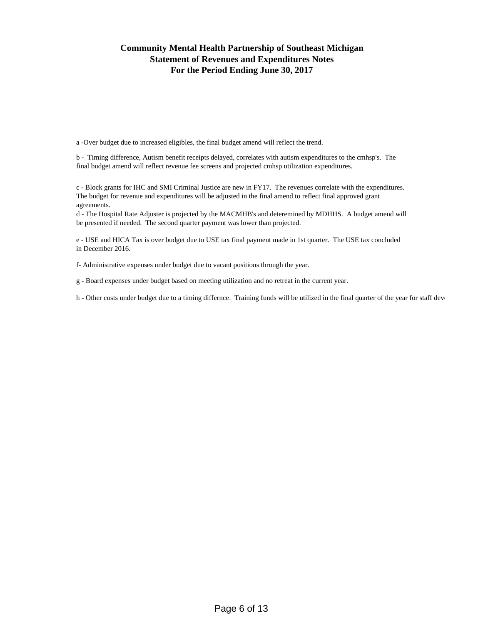## **Community Mental Health Partnership of Southeast Michigan Statement of Revenues and Expenditures Notes For the Period Ending June 30, 2017**

a -Over budget due to increased eligibles, the final budget amend will reflect the trend.

b - Timing difference, Autism benefit receipts delayed, correlates with autism expenditures to the cmhsp's. The final budget amend will reflect revenue fee screens and projected cmhsp utilization expenditures.

c - Block grants for IHC and SMI Criminal Justice are new in FY17. The revenues correlate with the expenditures. The budget for revenue and expenditures will be adjusted in the final amend to reflect final approved grant agreements.

d - The Hospital Rate Adjuster is projected by the MACMHB's and deteremined by MDHHS. A budget amend will be presented if needed. The second quarter payment was lower than projected.

e - USE and HICA Tax is over budget due to USE tax final payment made in 1st quarter. The USE tax concluded in December 2016.

f- Administrative expenses under budget due to vacant positions through the year.

g - Board expenses under budget based on meeting utilization and no retreat in the current year.

h - Other costs under budget due to a timing differnce. Training funds will be utilized in the final quarter of the year for staff development.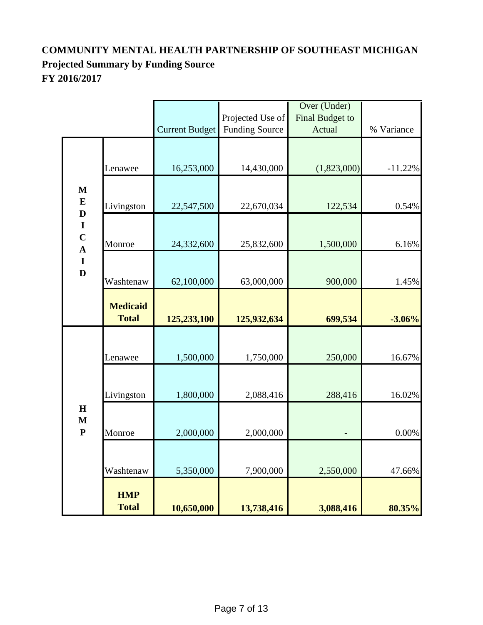# **COMMUNITY MENTAL HEALTH PARTNERSHIP OF SOUTHEAST MICHIGAN Projected Summary by Funding Source FY 2016/2017**

|                                                               |                                 |                       |                       | Over (Under)    |            |
|---------------------------------------------------------------|---------------------------------|-----------------------|-----------------------|-----------------|------------|
|                                                               |                                 |                       | Projected Use of      | Final Budget to |            |
|                                                               |                                 | <b>Current Budget</b> | <b>Funding Source</b> | Actual          | % Variance |
|                                                               | Lenawee                         | 16,253,000            | 14,430,000            | (1,823,000)     | $-11.22%$  |
| $\mathbf{M}$<br>$\bf{E}$                                      | Livingston                      | 22,547,500            | 22,670,034            | 122,534         | 0.54%      |
| $\mathbf D$<br>$\mathbf I$<br>$\frac{\mathbf{C}}{\mathbf{A}}$ | Monroe                          | 24,332,600            | 25,832,600            | 1,500,000       | 6.16%      |
| $\overline{\mathbf{I}}$<br>$\mathbf{D}$                       | Washtenaw                       | 62,100,000            | 63,000,000            | 900,000         | 1.45%      |
|                                                               | <b>Medicaid</b><br><b>Total</b> | 125,233,100           | 125,932,634           | 699,534         | $-3.06%$   |
|                                                               | Lenawee                         | 1,500,000             | 1,750,000             | 250,000         | 16.67%     |
|                                                               | Livingston                      | 1,800,000             | 2,088,416             | 288,416         | 16.02%     |
| $\mathbf H$<br>$\mathbf M$<br>${\bf P}$                       | Monroe                          | 2,000,000             | 2,000,000             |                 | 0.00%      |
|                                                               | Washtenaw                       | 5,350,000             | 7,900,000             | 2,550,000       | 47.66%     |
|                                                               | <b>HMP</b><br><b>Total</b>      | 10,650,000            | 13,738,416            | 3,088,416       | 80.35%     |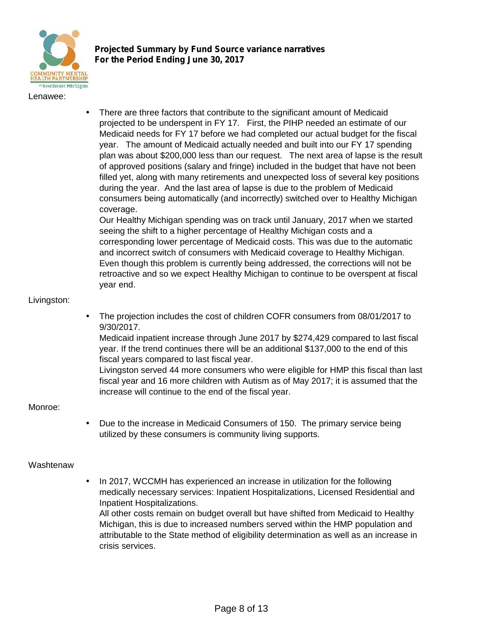

**Projected Summary by Fund Source variance narratives For the Period Ending June 30, 2017**

#### Lenawee:

 There are three factors that contribute to the significant amount of Medicaid projected to be underspent in FY 17. First, the PIHP needed an estimate of our Medicaid needs for FY 17 before we had completed our actual budget for the fiscal year. The amount of Medicaid actually needed and built into our FY 17 spending plan was about \$200,000 less than our request. The next area of lapse is the result of approved positions (salary and fringe) included in the budget that have not been filled yet, along with many retirements and unexpected loss of several key positions during the year. And the last area of lapse is due to the problem of Medicaid consumers being automatically (and incorrectly) switched over to Healthy Michigan coverage.

Our Healthy Michigan spending was on track until January, 2017 when we started seeing the shift to a higher percentage of Healthy Michigan costs and a corresponding lower percentage of Medicaid costs. This was due to the automatic and incorrect switch of consumers with Medicaid coverage to Healthy Michigan. Even though this problem is currently being addressed, the corrections will not be retroactive and so we expect Healthy Michigan to continue to be overspent at fiscal year end.

#### Livingston:

 The projection includes the cost of children COFR consumers from 08/01/2017 to 9/30/2017.

Medicaid inpatient increase through June 2017 by \$274,429 compared to last fiscal year. If the trend continues there will be an additional \$137,000 to the end of this fiscal years compared to last fiscal year.

Livingston served 44 more consumers who were eligible for HMP this fiscal than last fiscal year and 16 more children with Autism as of May 2017; it is assumed that the increase will continue to the end of the fiscal year.

#### Monroe:

 Due to the increase in Medicaid Consumers of 150. The primary service being utilized by these consumers is community living supports.

## Washtenaw

 In 2017, WCCMH has experienced an increase in utilization for the following medically necessary services: Inpatient Hospitalizations, Licensed Residential and Inpatient Hospitalizations.

All other costs remain on budget overall but have shifted from Medicaid to Healthy Michigan, this is due to increased numbers served within the HMP population and attributable to the State method of eligibility determination as well as an increase in crisis services.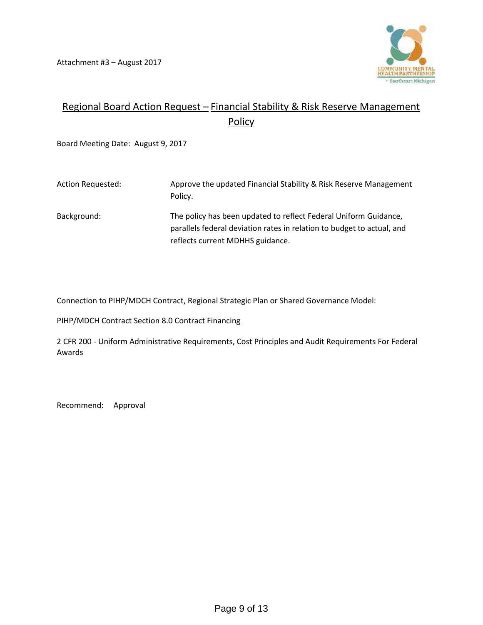

# Regional Board Action Request – Financial Stability & Risk Reserve Management **Policy**

Board Meeting Date: August 9, 2017

| Action Requested: | Approve the updated Financial Stability & Risk Reserve Management<br>Policy.                                                               |
|-------------------|--------------------------------------------------------------------------------------------------------------------------------------------|
| Background:       | The policy has been updated to reflect Federal Uniform Guidance,<br>parallels federal deviation rates in relation to budget to actual, and |
|                   | reflects current MDHHS guidance.                                                                                                           |

Connection to PIHP/MDCH Contract, Regional Strategic Plan or Shared Governance Model:

PIHP/MDCH Contract Section 8.0 Contract Financing

2 CFR 200 - Uniform Administrative Requirements, Cost Principles and Audit Requirements For Federal Awards

Recommend: Approval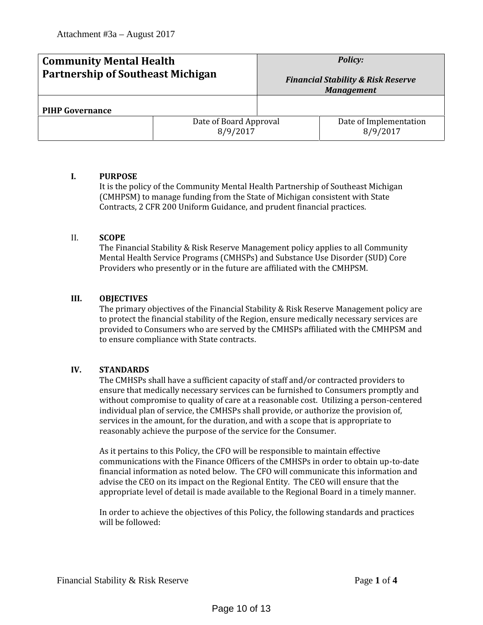| <b>Community Mental Health</b>           |                                    | <b>Policy:</b>                                                     |                                    |  |
|------------------------------------------|------------------------------------|--------------------------------------------------------------------|------------------------------------|--|
| <b>Partnership of Southeast Michigan</b> |                                    | <b>Financial Stability &amp; Risk Reserve</b><br><b>Management</b> |                                    |  |
| <b>PIHP Governance</b>                   |                                    |                                                                    |                                    |  |
|                                          | Date of Board Approval<br>8/9/2017 |                                                                    | Date of Implementation<br>8/9/2017 |  |

#### **I. PURPOSE**

It is the policy of the Community Mental Health Partnership of Southeast Michigan (CMHPSM) to manage funding from the State of Michigan consistent with State Contracts, 2 CFR 200 Uniform Guidance, and prudent financial practices.

#### II. **SCOPE**

The Financial Stability & Risk Reserve Management policy applies to all Community Mental Health Service Programs (CMHSPs) and Substance Use Disorder (SUD) Core Providers who presently or in the future are affiliated with the CMHPSM.

#### **III. OBJECTIVES**

The primary objectives of the Financial Stability & Risk Reserve Management policy are to protect the financial stability of the Region, ensure medically necessary services are provided to Consumers who are served by the CMHSPs affiliated with the CMHPSM and to ensure compliance with State contracts.

### **IV. STANDARDS**

The CMHSPs shall have a sufficient capacity of staff and/or contracted providers to ensure that medically necessary services can be furnished to Consumers promptly and without compromise to quality of care at a reasonable cost. Utilizing a person-centered individual plan of service, the CMHSPs shall provide, or authorize the provision of, services in the amount, for the duration, and with a scope that is appropriate to reasonably achieve the purpose of the service for the Consumer.

As it pertains to this Policy, the CFO will be responsible to maintain effective communications with the Finance Officers of the CMHSPs in order to obtain up-to-date financial information as noted below. The CFO will communicate this information and advise the CEO on its impact on the Regional Entity. The CEO will ensure that the appropriate level of detail is made available to the Regional Board in a timely manner.

In order to achieve the objectives of this Policy, the following standards and practices will be followed: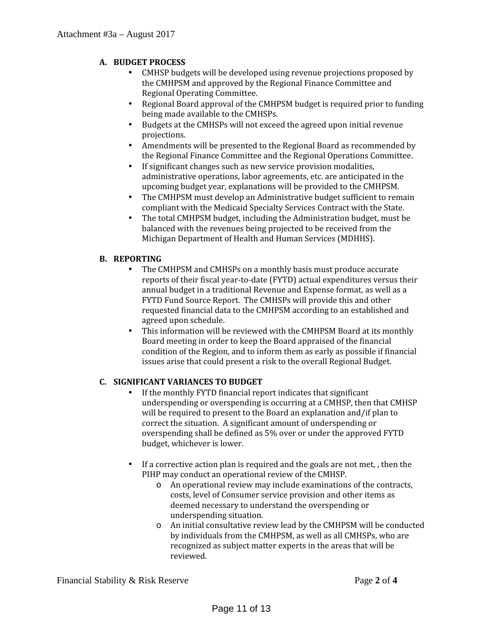# **A. BUDGET PROCESS**

- CMHSP budgets will be developed using revenue projections proposed by the CMHPSM and approved by the Regional Finance Committee and
- Regional Board approval of the CMHPSM budget is required prior to funding being made available to the CMHSPs.
- Budgets at the CMHSPs will not exceed the agreed upon initial revenue projections.
- ) Amendments will be presented to the Regional Board as recommended by the Regional Finance Committee and the Regional Operations Committee.
- $\frac{1}{\pi}$  If significant changes such as new service provision modalities, administrative operations, labor agreements, etc. are anticipated in the upcoming budget year, explanations will be provided to the CMHPSM.
- The CMHPSM must develop an Administrative budget sufficient to remain<br>compliant with the Medicaid Specialty Services Contract with the State.
- The total CMHPSM budget, including the Administration budget, must be balanced with the revenues being projected to be received from the Michigan Department of Health and Human Services (MDHHS).

## **B. REPORTING**

- The CMHPSM and CMHSPs on a monthly basis must produce accurate reports of their fiscal year-to-date (FYTD) actual expenditures versus their annual budget in a traditional Revenue and Expense format, as well as a FYTD Fund Source Report. The CMHSPs will provide this and other requested financial data to the CMHPSM according to an established and agreed upon schedule.
- This information will be reviewed with the CMHPSM Board at its monthly Board meeting in order to keep the Board appraised of the financial condition of the Region, and to inform them as early as possible if financial issues arise that could present a risk to the overall Regional Budget.

# **C. SIGNIFICANT VARIANCES TO BUDGET**

- If the monthly FYTD financial report indicates that significant underspending or overspending is occurring at a CMHSP, then that CMHSP will be required to present to the Board an explanation and/if plan to correct the situation. A significant amount of underspending or overspending shall be defined as 5% over or under the approved FYTD budget, whichever is lower.
- If a corrective action plan is required and the goals are not met, , then the PIHP may conduct an operational review of the CMHSP.
	- o An operational review may include examinations of the contracts, costs, level of Consumer service provision and other items as deemed necessary to understand the overspending or underspending situation.
	- o An initial consultative review lead by the CMHPSM will be conducted by individuals from the CMHPSM, as well as all CMHSPs, who are recognized as subject matter experts in the areas that will be reviewed.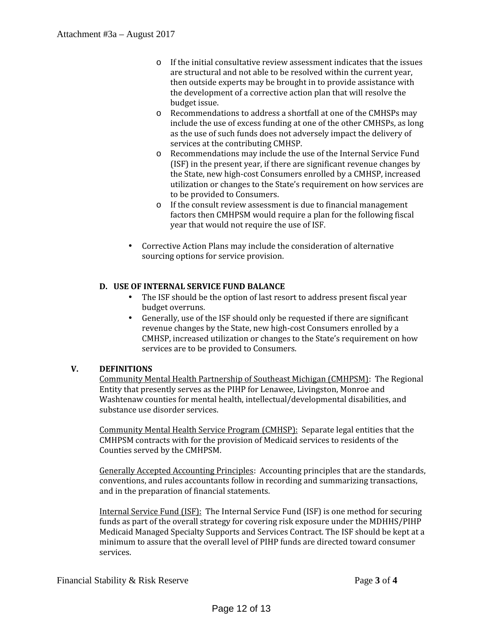- o If the initial consultative review assessment indicates that the issues are structural and not able to be resolved within the current year, then outside experts may be brought in to provide assistance with the development of a corrective action plan that will resolve the budget issue.
- o Recommendations to address a shortfall at one of the CMHSPs may include the use of excess funding at one of the other CMHSPs, as long as the use of such funds does not adversely impact the delivery of services at the contributing CMHSP.
- o Recommendations may include the use of the Internal Service Fund (ISF) in the present year, if there are significant revenue changes by the State, new high-cost Consumers enrolled by a CMHSP, increased utilization or changes to the State's requirement on how services are to be provided to Consumers.
- o If the consult review assessment is due to financial management factors then CMHPSM would require a plan for the following fiscal year that would not require the use of ISF.
- Corrective Action Plans may include the consideration of alternative sourcing options for service provision.

# **D. USE OF INTERNAL SERVICE FUND BALANCE**

- The ISF should be the option of last resort to address present fiscal year budget overruns.
- Generally, use of the ISF should only be requested if there are significant revenue changes by the State, new high-cost Consumers enrolled by a CMHSP, increased utilization or changes to the State's requirement on how services are to be provided to Consumers.

## **V. DEFINITIONS**

Community Mental Health Partnership of Southeast Michigan (CMHPSM): The Regional Entity that presently serves as the PIHP for Lenawee, Livingston, Monroe and Washtenaw counties for mental health, intellectual/developmental disabilities, and substance use disorder services.

Community Mental Health Service Program (CMHSP): Separate legal entities that the CMHPSM contracts with for the provision of Medicaid services to residents of the Counties served by the CMHPSM.

Generally Accepted Accounting Principles: Accounting principles that are the standards, conventions, and rules accountants follow in recording and summarizing transactions, and in the preparation of financial statements.

Internal Service Fund (ISF): The Internal Service Fund (ISF) is one method for securing funds as part of the overall strategy for covering risk exposure under the MDHHS/PIHP Medicaid Managed Specialty Supports and Services Contract. The ISF should be kept at a minimum to assure that the overall level of PIHP funds are directed toward consumer services.